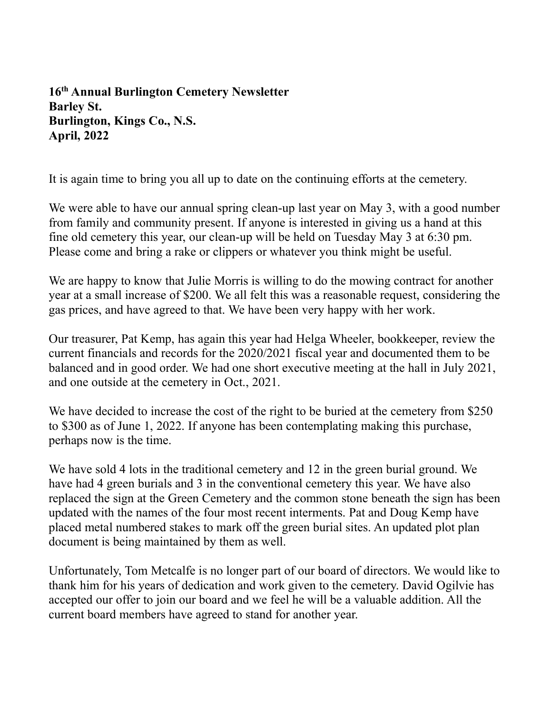**16th Annual Burlington Cemetery Newsletter Barley St. Burlington, Kings Co., N.S. April, 2022**

It is again time to bring you all up to date on the continuing efforts at the cemetery.

We were able to have our annual spring clean-up last year on May 3, with a good number from family and community present. If anyone is interested in giving us a hand at this fine old cemetery this year, our clean-up will be held on Tuesday May 3 at 6:30 pm. Please come and bring a rake or clippers or whatever you think might be useful.

We are happy to know that Julie Morris is willing to do the mowing contract for another year at a small increase of \$200. We all felt this was a reasonable request, considering the gas prices, and have agreed to that. We have been very happy with her work.

Our treasurer, Pat Kemp, has again this year had Helga Wheeler, bookkeeper, review the current financials and records for the 2020/2021 fiscal year and documented them to be balanced and in good order. We had one short executive meeting at the hall in July 2021, and one outside at the cemetery in Oct., 2021.

We have decided to increase the cost of the right to be buried at the cemetery from \$250 to \$300 as of June 1, 2022. If anyone has been contemplating making this purchase, perhaps now is the time.

We have sold 4 lots in the traditional cemetery and 12 in the green burial ground. We have had 4 green burials and 3 in the conventional cemetery this year. We have also replaced the sign at the Green Cemetery and the common stone beneath the sign has been updated with the names of the four most recent interments. Pat and Doug Kemp have placed metal numbered stakes to mark off the green burial sites. An updated plot plan document is being maintained by them as well.

Unfortunately, Tom Metcalfe is no longer part of our board of directors. We would like to thank him for his years of dedication and work given to the cemetery. David Ogilvie has accepted our offer to join our board and we feel he will be a valuable addition. All the current board members have agreed to stand for another year.